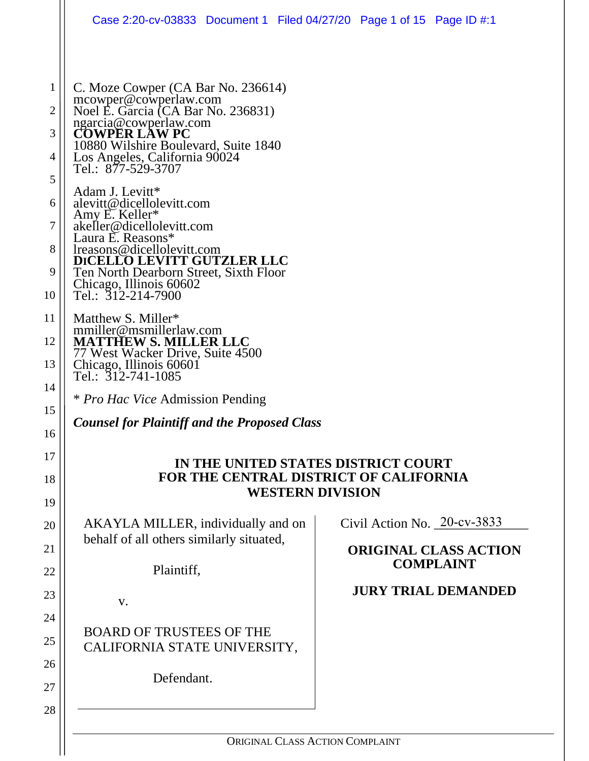|                                                              | Case 2:20-cv-03833 Document 1 Filed 04/27/20 Page 1 of 15 Page ID #:1                                                                                                                                                                                                                                                                                                                                                                                                                                                        |  |                                |                                                                                |
|--------------------------------------------------------------|------------------------------------------------------------------------------------------------------------------------------------------------------------------------------------------------------------------------------------------------------------------------------------------------------------------------------------------------------------------------------------------------------------------------------------------------------------------------------------------------------------------------------|--|--------------------------------|--------------------------------------------------------------------------------|
| 1<br>$\overline{2}$<br>3<br>4<br>5<br>6<br>7<br>8<br>9<br>10 | C. Moze Cowper (CA Bar No. 236614)<br>mcowper@cowperlaw.com<br>Noel E. Garcia (CA Bar No. 236831)<br>ngarcia@cowperlaw.com<br><b>COWPER LAW PC</b><br>10880 Wilshire Boulevard, Suite 1840<br>Los Angeles, California 90024<br>Tel.: 877-529-3707<br>Adam J. Levitt*<br>alevitt@dicellolevitt.com<br>Amy E. Keller*<br>akeller@dicellolevitt.com<br>Laura E. Reasons*<br>lreasons@dicellolevitt.com<br>DICELLO LEVITT GUTZLER LLC<br>Ten North Dearborn Street, Sixth Floor<br>Chicago, Illinois 60602<br>Tel.: 312-214-7900 |  |                                |                                                                                |
| 11<br>12<br>13<br>14<br>15<br>16<br>17<br>18                 | Matthew S. Miller*<br>mmiller@msmillerlaw.com<br><b>MATTHEW S. MILLER LLC</b><br>77 West Wacker Drive, Suite 4500<br>Chicago, Illinois 60601<br>Tel.: 312-741-1085<br><i>* Pro Hac Vice Admission Pending</i><br><b>Counsel for Plaintiff and the Proposed Class</b><br>IN THE UNITED STATES DISTRICT COURT<br>FOR THE CENTRAL DISTRICT OF CALIFORNIA<br><b>WESTERN DIVISION</b>                                                                                                                                             |  |                                |                                                                                |
| 19<br>20<br>21<br>22<br>23<br>24<br>25<br>26<br>27<br>28     | AKAYLA MILLER, individually and on<br>behalf of all others similarly situated,<br>Plaintiff,<br>V.<br><b>BOARD OF TRUSTEES OF THE</b><br>CALIFORNIA STATE UNIVERSITY,<br>Defendant.                                                                                                                                                                                                                                                                                                                                          |  | Civil Action No. $20$ -cv-3833 | <b>ORIGINAL CLASS ACTION</b><br><b>COMPLAINT</b><br><b>JURY TRIAL DEMANDED</b> |
|                                                              | ORIGINAL CLASS ACTION COMPLAINT                                                                                                                                                                                                                                                                                                                                                                                                                                                                                              |  |                                |                                                                                |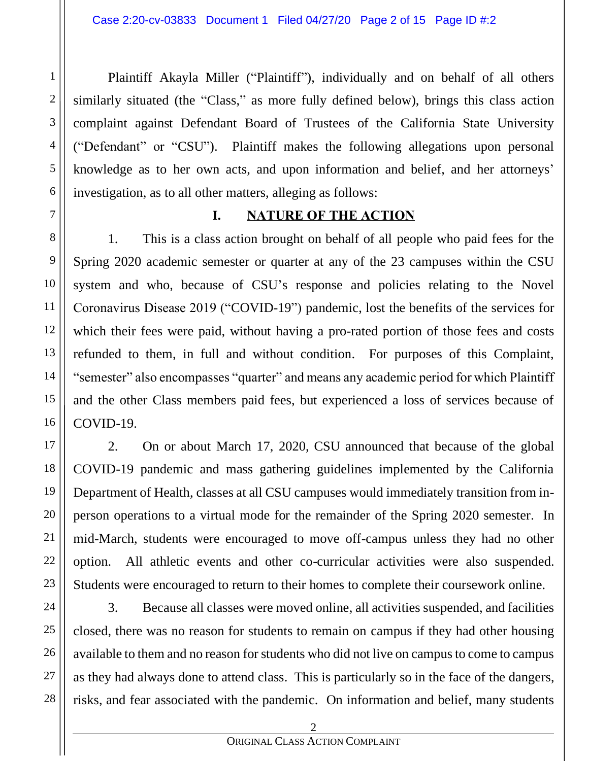Plaintiff Akayla Miller ("Plaintiff"), individually and on behalf of all others similarly situated (the "Class," as more fully defined below), brings this class action complaint against Defendant Board of Trustees of the California State University ("Defendant" or "CSU"). Plaintiff makes the following allegations upon personal knowledge as to her own acts, and upon information and belief, and her attorneys' investigation, as to all other matters, alleging as follows:

## **I. NATURE OF THE ACTION**

1. This is a class action brought on behalf of all people who paid fees for the Spring 2020 academic semester or quarter at any of the 23 campuses within the CSU system and who, because of CSU's response and policies relating to the Novel Coronavirus Disease 2019 ("COVID-19") pandemic, lost the benefits of the services for which their fees were paid, without having a pro-rated portion of those fees and costs refunded to them, in full and without condition. For purposes of this Complaint, "semester" also encompasses "quarter" and means any academic period for which Plaintiff and the other Class members paid fees, but experienced a loss of services because of COVID-19.

2. On or about March 17, 2020, CSU announced that because of the global COVID-19 pandemic and mass gathering guidelines implemented by the California Department of Health, classes at all CSU campuses would immediately transition from inperson operations to a virtual mode for the remainder of the Spring 2020 semester. In mid-March, students were encouraged to move off-campus unless they had no other option. All athletic events and other co-curricular activities were also suspended. Students were encouraged to return to their homes to complete their coursework online.

3. Because all classes were moved online, all activities suspended, and facilities closed, there was no reason for students to remain on campus if they had other housing available to them and no reason for students who did not live on campus to come to campus as they had always done to attend class. This is particularly so in the face of the dangers, risks, and fear associated with the pandemic. On information and belief, many students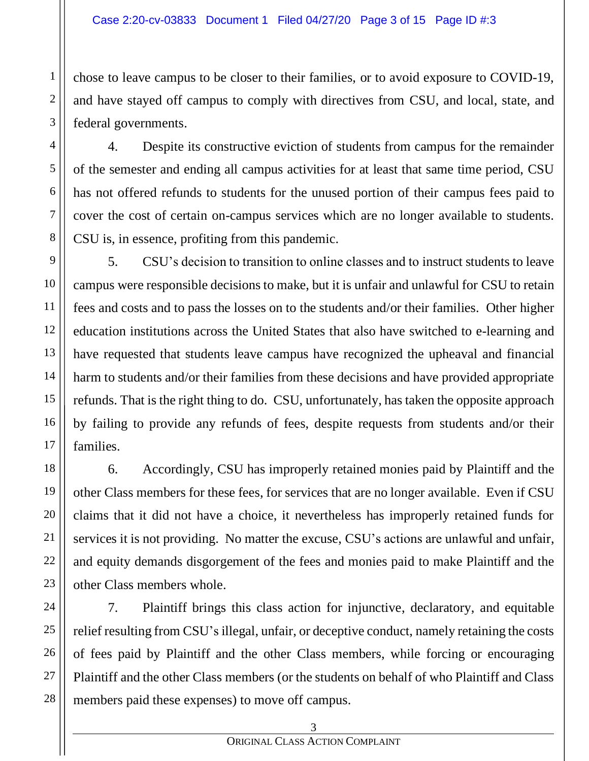chose to leave campus to be closer to their families, or to avoid exposure to COVID-19, and have stayed off campus to comply with directives from CSU, and local, state, and federal governments.

4. Despite its constructive eviction of students from campus for the remainder of the semester and ending all campus activities for at least that same time period, CSU has not offered refunds to students for the unused portion of their campus fees paid to cover the cost of certain on-campus services which are no longer available to students. CSU is, in essence, profiting from this pandemic.

5. CSU's decision to transition to online classes and to instruct students to leave campus were responsible decisions to make, but it is unfair and unlawful for CSU to retain fees and costs and to pass the losses on to the students and/or their families. Other higher education institutions across the United States that also have switched to e-learning and have requested that students leave campus have recognized the upheaval and financial harm to students and/or their families from these decisions and have provided appropriate refunds. That is the right thing to do. CSU, unfortunately, has taken the opposite approach by failing to provide any refunds of fees, despite requests from students and/or their families.

6. Accordingly, CSU has improperly retained monies paid by Plaintiff and the other Class members for these fees, for services that are no longer available. Even if CSU claims that it did not have a choice, it nevertheless has improperly retained funds for services it is not providing. No matter the excuse, CSU's actions are unlawful and unfair, and equity demands disgorgement of the fees and monies paid to make Plaintiff and the other Class members whole.

7. Plaintiff brings this class action for injunctive, declaratory, and equitable relief resulting from CSU's illegal, unfair, or deceptive conduct, namely retaining the costs of fees paid by Plaintiff and the other Class members, while forcing or encouraging Plaintiff and the other Class members (or the students on behalf of who Plaintiff and Class members paid these expenses) to move off campus.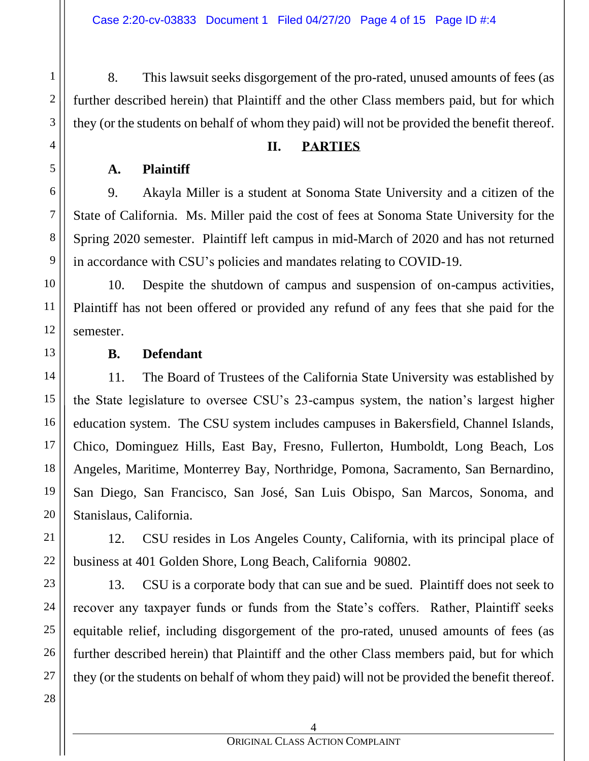8. This lawsuit seeks disgorgement of the pro-rated, unused amounts of fees (as further described herein) that Plaintiff and the other Class members paid, but for which they (or the students on behalf of whom they paid) will not be provided the benefit thereof.

#### **II. PARTIES**

#### **A. Plaintiff**

9. Akayla Miller is a student at Sonoma State University and a citizen of the State of California. Ms. Miller paid the cost of fees at Sonoma State University for the Spring 2020 semester. Plaintiff left campus in mid-March of 2020 and has not returned in accordance with CSU's policies and mandates relating to COVID-19.

10. Despite the shutdown of campus and suspension of on-campus activities, Plaintiff has not been offered or provided any refund of any fees that she paid for the semester.

#### **B. Defendant**

11. The Board of Trustees of the California State University was established by the State legislature to oversee CSU's 23-campus system, the nation's largest higher education system. The CSU system includes campuses in Bakersfield, Channel Islands, Chico, Dominguez Hills, East Bay, Fresno, Fullerton, Humboldt, Long Beach, Los Angeles, Maritime, Monterrey Bay, Northridge, Pomona, Sacramento, San Bernardino, San Diego, San Francisco, San José, San Luis Obispo, San Marcos, Sonoma, and Stanislaus, California.

12. CSU resides in Los Angeles County, California, with its principal place of business at 401 Golden Shore, Long Beach, California 90802.

13. CSU is a corporate body that can sue and be sued. Plaintiff does not seek to recover any taxpayer funds or funds from the State's coffers. Rather, Plaintiff seeks equitable relief, including disgorgement of the pro-rated, unused amounts of fees (as further described herein) that Plaintiff and the other Class members paid, but for which they (or the students on behalf of whom they paid) will not be provided the benefit thereof.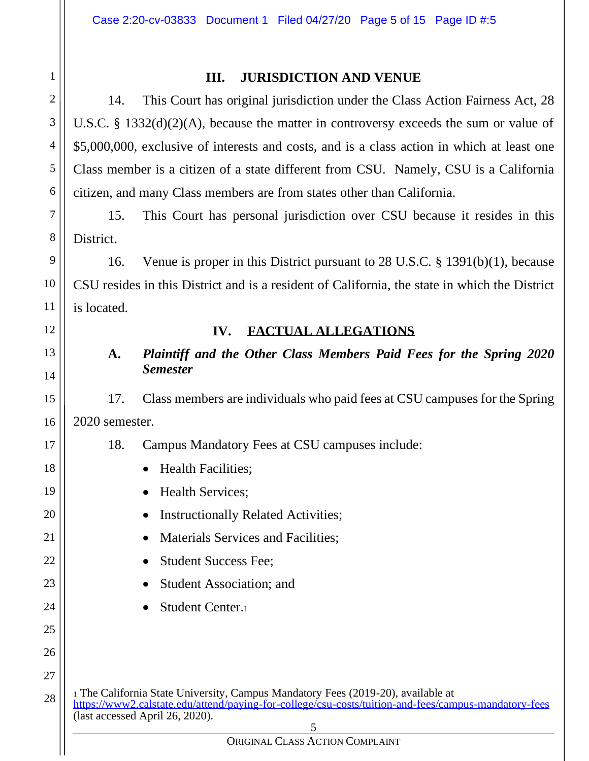# 1 2 3 4 5 6 7 8 9 10 11 12 13 14 15 16 17 18 19 20 21 22 23 24 25 26 27 28

#### **III. JURISDICTION AND VENUE**

14. This Court has original jurisdiction under the Class Action Fairness Act, 28 U.S.C. § 1332(d)(2)(A), because the matter in controversy exceeds the sum or value of \$5,000,000, exclusive of interests and costs, and is a class action in which at least one Class member is a citizen of a state different from CSU. Namely, CSU is a California citizen, and many Class members are from states other than California.

15. This Court has personal jurisdiction over CSU because it resides in this District.

16. Venue is proper in this District pursuant to 28 U.S.C. § 1391(b)(1), because CSU resides in this District and is a resident of California, the state in which the District is located.

# **IV. FACTUAL ALLEGATIONS**

# **A.** *Plaintiff and the Other Class Members Paid Fees for the Spring 2020 Semester*

17. Class members are individuals who paid fees at CSU campuses for the Spring 2020 semester.

- 18. Campus Mandatory Fees at CSU campuses include:
	- Health Facilities;
	- Health Services:
	- Instructionally Related Activities;
	- Materials Services and Facilities;
	- Student Success Fee;
	- Student Association; and
	- Student Center.

5 <sup>1</sup> The California State University, Campus Mandatory Fees (2019-20), available at <https://www2.calstate.edu/attend/paying-for-college/csu-costs/tuition-and-fees/campus-mandatory-fees> (last accessed April 26, 2020).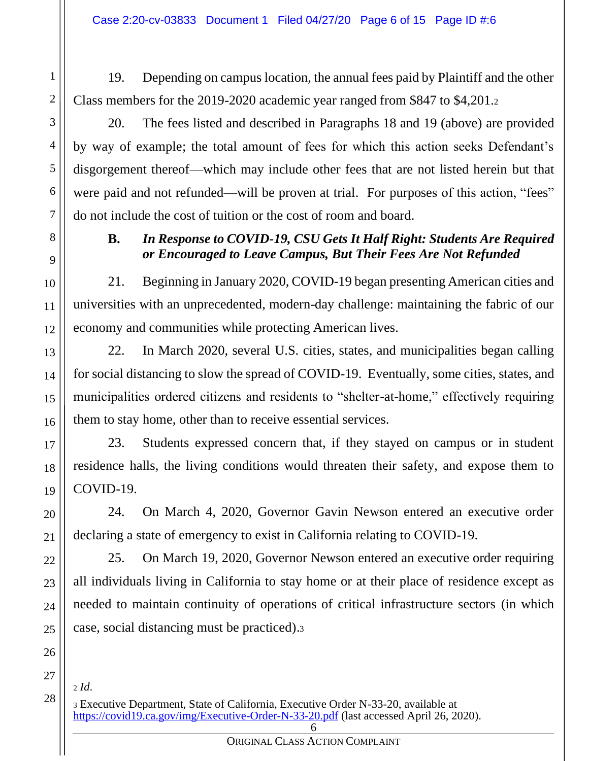19. Depending on campus location, the annual fees paid by Plaintiff and the other Class members for the 2019-2020 academic year ranged from \$847 to \$4,201.<sup>2</sup>

20. The fees listed and described in Paragraphs 18 and 19 (above) are provided by way of example; the total amount of fees for which this action seeks Defendant's disgorgement thereof—which may include other fees that are not listed herein but that were paid and not refunded—will be proven at trial. For purposes of this action, "fees" do not include the cost of tuition or the cost of room and board.

# **B.** *In Response to COVID-19, CSU Gets It Half Right: Students Are Required or Encouraged to Leave Campus, But Their Fees Are Not Refunded*

21. Beginning in January 2020, COVID-19 began presenting American cities and universities with an unprecedented, modern-day challenge: maintaining the fabric of our economy and communities while protecting American lives.

22. In March 2020, several U.S. cities, states, and municipalities began calling for social distancing to slow the spread of COVID-19. Eventually, some cities, states, and municipalities ordered citizens and residents to "shelter-at-home," effectively requiring them to stay home, other than to receive essential services.

23. Students expressed concern that, if they stayed on campus or in student residence halls, the living conditions would threaten their safety, and expose them to COVID-19.

24. On March 4, 2020, Governor Gavin Newson entered an executive order declaring a state of emergency to exist in California relating to COVID-19.

25. On March 19, 2020, Governor Newson entered an executive order requiring all individuals living in California to stay home or at their place of residence except as needed to maintain continuity of operations of critical infrastructure sectors (in which case, social distancing must be practiced).<sup>3</sup>

<sup>2</sup> *Id*.

6 <sup>3</sup> Executive Department, State of California, Executive Order N-33-20, available at <https://covid19.ca.gov/img/Executive-Order-N-33-20.pdf> (last accessed April 26, 2020).

ORIGINAL CLASS ACTION COMPLAINT

26 27 28

1

2

3

4

5

6

7

8

9

10

11

12

13

14

15

16

17

18

19

20

21

22

23

24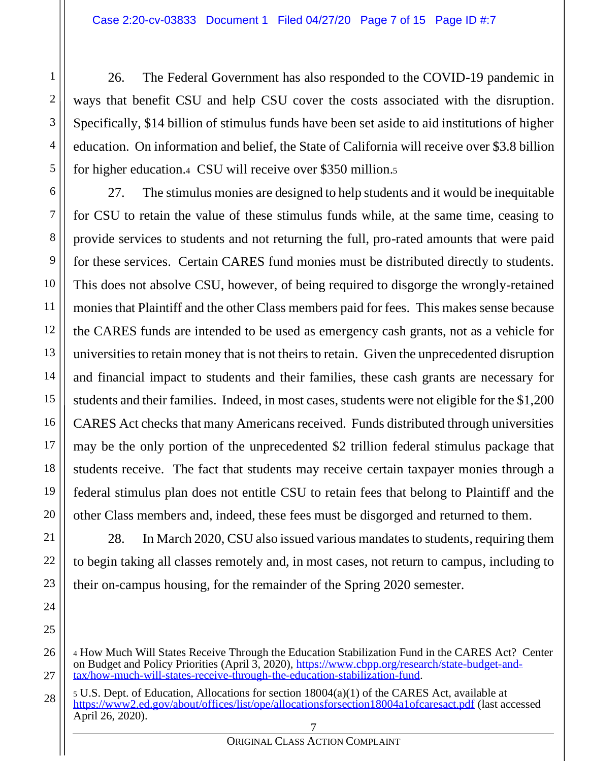26. The Federal Government has also responded to the COVID-19 pandemic in ways that benefit CSU and help CSU cover the costs associated with the disruption. Specifically, \$14 billion of stimulus funds have been set aside to aid institutions of higher education. On information and belief, the State of California will receive over \$3.8 billion for higher education.4 CSU will receive over \$350 million.<sup>5</sup>

27. The stimulus monies are designed to help students and it would be inequitable for CSU to retain the value of these stimulus funds while, at the same time, ceasing to provide services to students and not returning the full, pro-rated amounts that were paid for these services. Certain CARES fund monies must be distributed directly to students. This does not absolve CSU, however, of being required to disgorge the wrongly-retained monies that Plaintiff and the other Class members paid for fees. This makes sense because the CARES funds are intended to be used as emergency cash grants, not as a vehicle for universities to retain money that is not theirs to retain. Given the unprecedented disruption and financial impact to students and their families, these cash grants are necessary for students and their families. Indeed, in most cases, students were not eligible for the \$1,200 CARES Act checks that many Americans received. Funds distributed through universities may be the only portion of the unprecedented \$2 trillion federal stimulus package that students receive. The fact that students may receive certain taxpayer monies through a federal stimulus plan does not entitle CSU to retain fees that belong to Plaintiff and the other Class members and, indeed, these fees must be disgorged and returned to them.

28. In March 2020, CSU also issued various mandates to students, requiring them to begin taking all classes remotely and, in most cases, not return to campus, including to their on-campus housing, for the remainder of the Spring 2020 semester.

27 28

1

2

3

4

5

6

7

8

9

10

11

12

13

14

15

16

17

18

19

20

21

22

23

24

25

<sup>4</sup> How Much Will States Receive Through the Education Stabilization Fund in the CARES Act? Center on Budget and Policy Priorities (April 3, 2020), [https://www.cbpp.org/research/state-budget-and](https://www.cbpp.org/research/state-budget-and-tax/how-much-will-states-receive-through-the-education-stabilization-fund)[tax/how-much-will-states-receive-through-the-education-stabilization-fund.](https://www.cbpp.org/research/state-budget-and-tax/how-much-will-states-receive-through-the-education-stabilization-fund)

<sup>7</sup> <sup>5</sup> U.S. Dept. of Education, Allocations for section 18004(a)(1) of the CARES Act, available at <https://www2.ed.gov/about/offices/list/ope/allocationsforsection18004a1ofcaresact.pdf> (last accessed April 26, 2020).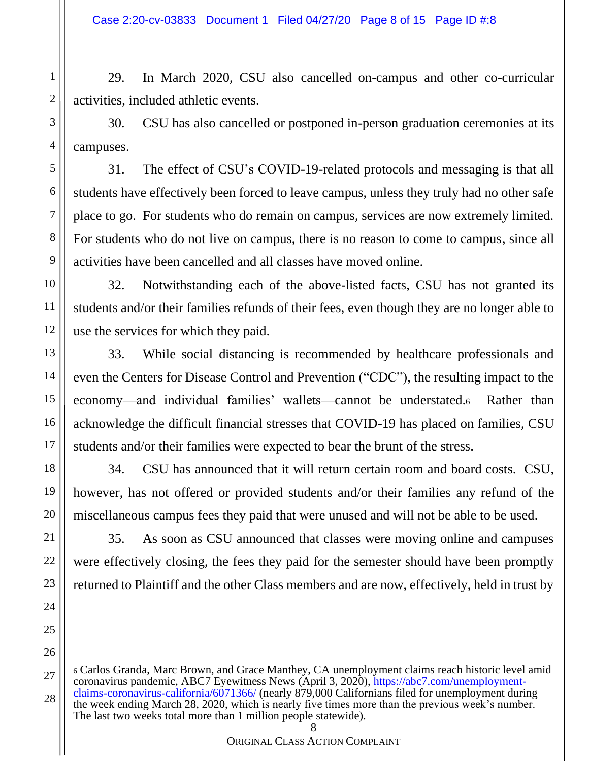29. In March 2020, CSU also cancelled on-campus and other co-curricular activities, included athletic events.

30. CSU has also cancelled or postponed in-person graduation ceremonies at its campuses.

31. The effect of CSU's COVID-19-related protocols and messaging is that all students have effectively been forced to leave campus, unless they truly had no other safe place to go. For students who do remain on campus, services are now extremely limited. For students who do not live on campus, there is no reason to come to campus, since all activities have been cancelled and all classes have moved online.

32. Notwithstanding each of the above-listed facts, CSU has not granted its students and/or their families refunds of their fees, even though they are no longer able to use the services for which they paid.

33. While social distancing is recommended by healthcare professionals and even the Centers for Disease Control and Prevention ("CDC"), the resulting impact to the economy—and individual families' wallets—cannot be understated.6 Rather than acknowledge the difficult financial stresses that COVID-19 has placed on families, CSU students and/or their families were expected to bear the brunt of the stress.

34. CSU has announced that it will return certain room and board costs. CSU, however, has not offered or provided students and/or their families any refund of the miscellaneous campus fees they paid that were unused and will not be able to be used.

35. As soon as CSU announced that classes were moving online and campuses were effectively closing, the fees they paid for the semester should have been promptly returned to Plaintiff and the other Class members and are now, effectively, held in trust by

8 <sup>6</sup> Carlos Granda, Marc Brown, and Grace Manthey, CA unemployment claims reach historic level amid coronavirus pandemic, ABC7 Eyewitness News (April 3, 2020), [https://abc7.com/unemployment](https://abc7.com/unemployment-claims-coronavirus-california/6071366/)[claims-coronavirus-california/6071366/](https://abc7.com/unemployment-claims-coronavirus-california/6071366/) (nearly 879,000 Californians filed for unemployment during the week ending March 28, 2020, which is nearly five times more than the previous week's number. The last two weeks total more than 1 million people statewide).

1

2

3

4

5

6

7

8

9

10

11

12

13

14

15

16

17

18

19

20

21

22

23

24

25

26

27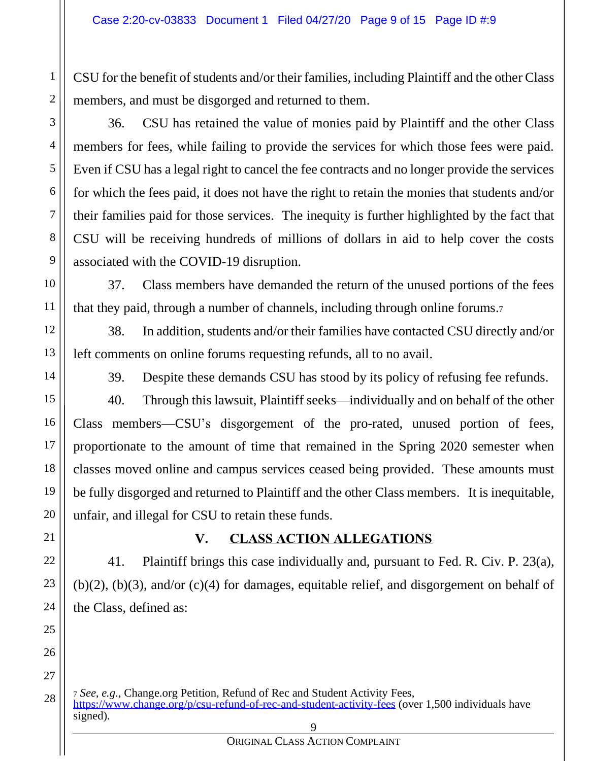CSU for the benefit of students and/or their families, including Plaintiff and the other Class members, and must be disgorged and returned to them.

36. CSU has retained the value of monies paid by Plaintiff and the other Class members for fees, while failing to provide the services for which those fees were paid. Even if CSU has a legal right to cancel the fee contracts and no longer provide the services for which the fees paid, it does not have the right to retain the monies that students and/or their families paid for those services. The inequity is further highlighted by the fact that CSU will be receiving hundreds of millions of dollars in aid to help cover the costs associated with the COVID-19 disruption.

37. Class members have demanded the return of the unused portions of the fees that they paid, through a number of channels, including through online forums.<sup>7</sup>

38. In addition, students and/or their families have contacted CSU directly and/or left comments on online forums requesting refunds, all to no avail.

39. Despite these demands CSU has stood by its policy of refusing fee refunds.

40. Through this lawsuit, Plaintiff seeks—individually and on behalf of the other Class members—CSU's disgorgement of the pro-rated, unused portion of fees, proportionate to the amount of time that remained in the Spring 2020 semester when classes moved online and campus services ceased being provided. These amounts must be fully disgorged and returned to Plaintiff and the other Class members. It is inequitable, unfair, and illegal for CSU to retain these funds.

#### **V. CLASS ACTION ALLEGATIONS**

41. Plaintiff brings this case individually and, pursuant to Fed. R. Civ. P. 23(a), (b)(2), (b)(3), and/or (c)(4) for damages, equitable relief, and disgorgement on behalf of the Class, defined as:

9 <sup>7</sup> *See, e.g.,* Change.org Petition, Refund of Rec and Student Activity Fees, <https://www.change.org/p/csu-refund-of-rec-and-student-activity-fees> (over 1,500 individuals have signed).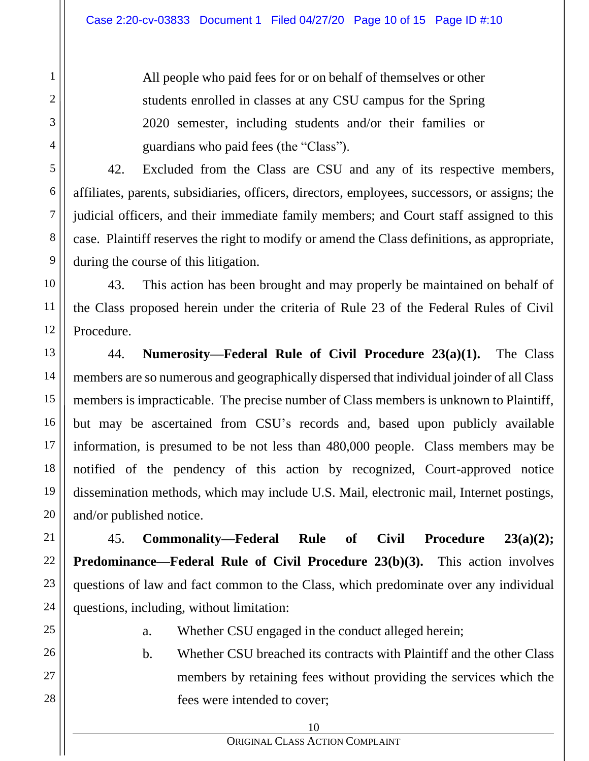All people who paid fees for or on behalf of themselves or other students enrolled in classes at any CSU campus for the Spring 2020 semester, including students and/or their families or guardians who paid fees (the "Class").

42. Excluded from the Class are CSU and any of its respective members, affiliates, parents, subsidiaries, officers, directors, employees, successors, or assigns; the judicial officers, and their immediate family members; and Court staff assigned to this case. Plaintiff reserves the right to modify or amend the Class definitions, as appropriate, during the course of this litigation.

43. This action has been brought and may properly be maintained on behalf of the Class proposed herein under the criteria of Rule 23 of the Federal Rules of Civil Procedure.

44. **Numerosity—Federal Rule of Civil Procedure 23(a)(1).** The Class members are so numerous and geographically dispersed that individual joinder of all Class members is impracticable. The precise number of Class members is unknown to Plaintiff, but may be ascertained from CSU's records and, based upon publicly available information, is presumed to be not less than 480,000 people. Class members may be notified of the pendency of this action by recognized, Court-approved notice dissemination methods, which may include U.S. Mail, electronic mail, Internet postings, and/or published notice.

45. **Commonality—Federal Rule of Civil Procedure 23(a)(2); Predominance—Federal Rule of Civil Procedure 23(b)(3).** This action involves questions of law and fact common to the Class, which predominate over any individual questions, including, without limitation:

- a. Whether CSU engaged in the conduct alleged herein;
- b. Whether CSU breached its contracts with Plaintiff and the other Class members by retaining fees without providing the services which the fees were intended to cover;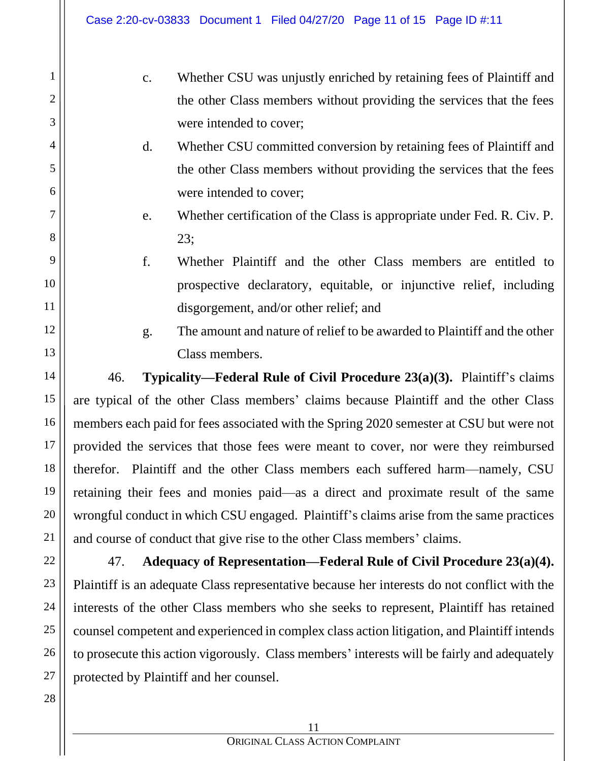- c. Whether CSU was unjustly enriched by retaining fees of Plaintiff and the other Class members without providing the services that the fees were intended to cover;
- d. Whether CSU committed conversion by retaining fees of Plaintiff and the other Class members without providing the services that the fees were intended to cover;
- e. Whether certification of the Class is appropriate under Fed. R. Civ. P. 23;
	- f. Whether Plaintiff and the other Class members are entitled to prospective declaratory, equitable, or injunctive relief, including disgorgement, and/or other relief; and
- g. The amount and nature of relief to be awarded to Plaintiff and the other Class members.

46. **Typicality—Federal Rule of Civil Procedure 23(a)(3).** Plaintiff's claims are typical of the other Class members' claims because Plaintiff and the other Class members each paid for fees associated with the Spring 2020 semester at CSU but were not provided the services that those fees were meant to cover, nor were they reimbursed therefor. Plaintiff and the other Class members each suffered harm—namely, CSU retaining their fees and monies paid—as a direct and proximate result of the same wrongful conduct in which CSU engaged. Plaintiff's claims arise from the same practices and course of conduct that give rise to the other Class members' claims.

47. **Adequacy of Representation—Federal Rule of Civil Procedure 23(a)(4).**  Plaintiff is an adequate Class representative because her interests do not conflict with the interests of the other Class members who she seeks to represent, Plaintiff has retained counsel competent and experienced in complex class action litigation, and Plaintiff intends to prosecute this action vigorously. Class members' interests will be fairly and adequately protected by Plaintiff and her counsel.

1

2

3

4

5

6

7

8

9

10

11

12

13

14

15

16

17

18

19

20

21

22

23

24

25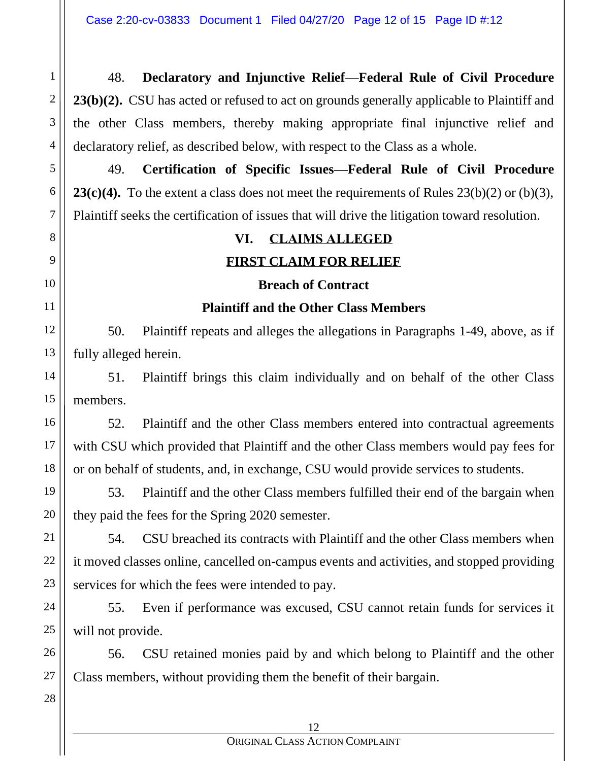48. **Declaratory and Injunctive Relief**—**Federal Rule of Civil Procedure 23(b)(2).** CSU has acted or refused to act on grounds generally applicable to Plaintiff and the other Class members, thereby making appropriate final injunctive relief and declaratory relief, as described below, with respect to the Class as a whole.

49. **Certification of Specific Issues—Federal Rule of Civil Procedure 23(c)(4).** To the extent a class does not meet the requirements of Rules 23(b)(2) or (b)(3), Plaintiff seeks the certification of issues that will drive the litigation toward resolution.

## **VI. CLAIMS ALLEGED**

## **FIRST CLAIM FOR RELIEF**

## **Breach of Contract**

## **Plaintiff and the Other Class Members**

50. Plaintiff repeats and alleges the allegations in Paragraphs 1-49, above, as if fully alleged herein.

51. Plaintiff brings this claim individually and on behalf of the other Class members.

52. Plaintiff and the other Class members entered into contractual agreements with CSU which provided that Plaintiff and the other Class members would pay fees for or on behalf of students, and, in exchange, CSU would provide services to students.

53. Plaintiff and the other Class members fulfilled their end of the bargain when they paid the fees for the Spring 2020 semester.

54. CSU breached its contracts with Plaintiff and the other Class members when it moved classes online, cancelled on-campus events and activities, and stopped providing services for which the fees were intended to pay.

55. Even if performance was excused, CSU cannot retain funds for services it will not provide.

56. CSU retained monies paid by and which belong to Plaintiff and the other Class members, without providing them the benefit of their bargain.

#### ORIGINAL CLASS ACTION COMPLAINT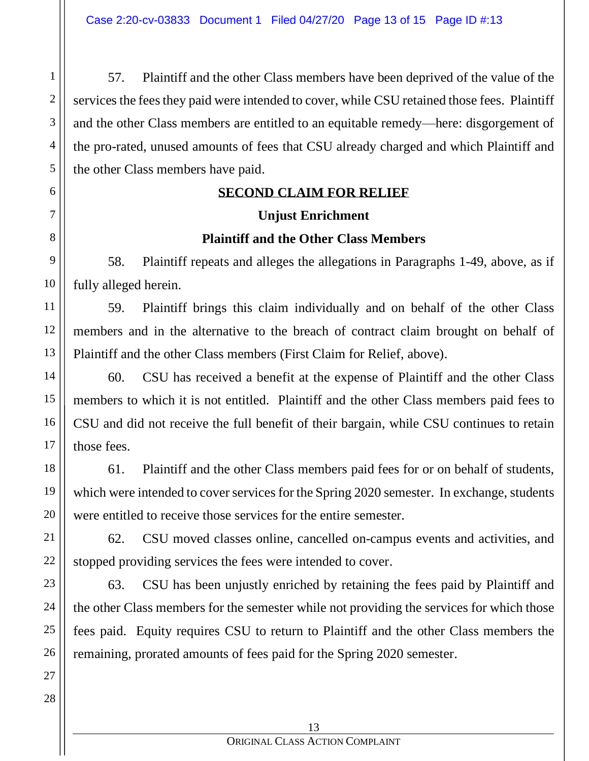57. Plaintiff and the other Class members have been deprived of the value of the services the fees they paid were intended to cover, while CSU retained those fees. Plaintiff and the other Class members are entitled to an equitable remedy—here: disgorgement of the pro-rated, unused amounts of fees that CSU already charged and which Plaintiff and the other Class members have paid.

## **SECOND CLAIM FOR RELIEF**

#### **Unjust Enrichment**

## **Plaintiff and the Other Class Members**

58. Plaintiff repeats and alleges the allegations in Paragraphs 1-49, above, as if fully alleged herein.

59. Plaintiff brings this claim individually and on behalf of the other Class members and in the alternative to the breach of contract claim brought on behalf of Plaintiff and the other Class members (First Claim for Relief, above).

60. CSU has received a benefit at the expense of Plaintiff and the other Class members to which it is not entitled. Plaintiff and the other Class members paid fees to CSU and did not receive the full benefit of their bargain, while CSU continues to retain those fees.

61. Plaintiff and the other Class members paid fees for or on behalf of students, which were intended to cover services for the Spring 2020 semester. In exchange, students were entitled to receive those services for the entire semester.

62. CSU moved classes online, cancelled on-campus events and activities, and stopped providing services the fees were intended to cover.

63. CSU has been unjustly enriched by retaining the fees paid by Plaintiff and the other Class members for the semester while not providing the services for which those fees paid. Equity requires CSU to return to Plaintiff and the other Class members the remaining, prorated amounts of fees paid for the Spring 2020 semester.

1

2

3

4

5

6

7

8

9

10

11

12

13

14

15

16

17

18

19

20

21

22

23

24

25

26

27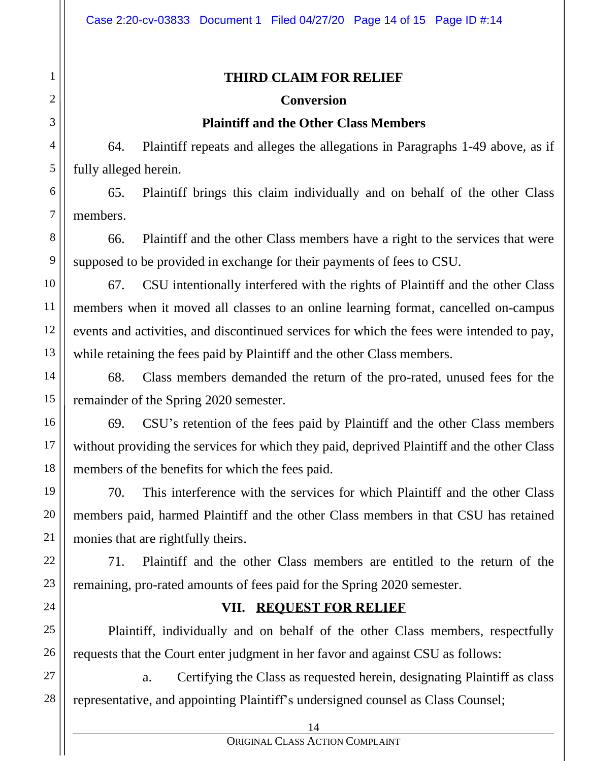## **THIRD CLAIM FOR RELIEF**

#### **Conversion**

## **Plaintiff and the Other Class Members**

64. Plaintiff repeats and alleges the allegations in Paragraphs 1-49 above, as if fully alleged herein.

65. Plaintiff brings this claim individually and on behalf of the other Class members.

66. Plaintiff and the other Class members have a right to the services that were supposed to be provided in exchange for their payments of fees to CSU.

67. CSU intentionally interfered with the rights of Plaintiff and the other Class members when it moved all classes to an online learning format, cancelled on-campus events and activities, and discontinued services for which the fees were intended to pay, while retaining the fees paid by Plaintiff and the other Class members.

68. Class members demanded the return of the pro-rated, unused fees for the remainder of the Spring 2020 semester.

69. CSU's retention of the fees paid by Plaintiff and the other Class members without providing the services for which they paid, deprived Plaintiff and the other Class members of the benefits for which the fees paid.

70. This interference with the services for which Plaintiff and the other Class members paid, harmed Plaintiff and the other Class members in that CSU has retained monies that are rightfully theirs.

71. Plaintiff and the other Class members are entitled to the return of the remaining, pro-rated amounts of fees paid for the Spring 2020 semester.

## **VII. REQUEST FOR RELIEF**

Plaintiff, individually and on behalf of the other Class members, respectfully requests that the Court enter judgment in her favor and against CSU as follows:

a. Certifying the Class as requested herein, designating Plaintiff as class representative, and appointing Plaintiff's undersigned counsel as Class Counsel;